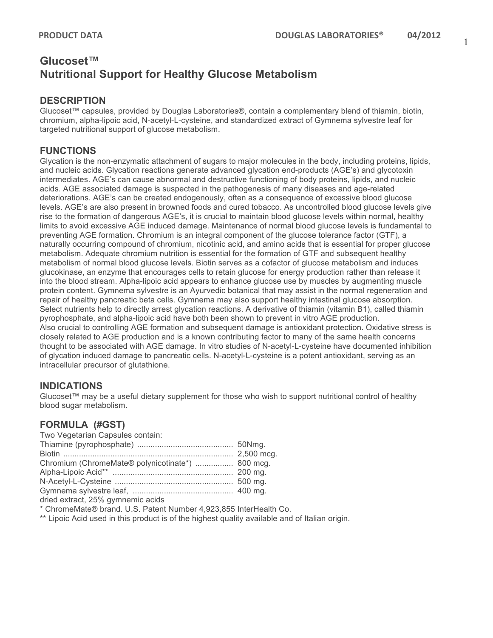# **Glucoset™ Nutritional Support for Healthy Glucose Metabolism**

#### **DESCRIPTION**

Glucoset™ capsules, provided by Douglas Laboratories®, contain a complementary blend of thiamin, biotin, chromium, alpha-lipoic acid, N-acetyl-L-cysteine, and standardized extract of Gymnema sylvestre leaf for targeted nutritional support of glucose metabolism.

## **FUNCTIONS**

Glycation is the non-enzymatic attachment of sugars to major molecules in the body, including proteins, lipids, and nucleic acids. Glycation reactions generate advanced glycation end-products (AGE's) and glycotoxin intermediates. AGE's can cause abnormal and destructive functioning of body proteins, lipids, and nucleic acids. AGE associated damage is suspected in the pathogenesis of many diseases and age-related deteriorations. AGE's can be created endogenously, often as a consequence of excessive blood glucose levels. AGE's are also present in browned foods and cured tobacco. As uncontrolled blood glucose levels give rise to the formation of dangerous AGE's, it is crucial to maintain blood glucose levels within normal, healthy limits to avoid excessive AGE induced damage. Maintenance of normal blood glucose levels is fundamental to preventing AGE formation. Chromium is an integral component of the glucose tolerance factor (GTF), a naturally occurring compound of chromium, nicotinic acid, and amino acids that is essential for proper glucose metabolism. Adequate chromium nutrition is essential for the formation of GTF and subsequent healthy metabolism of normal blood glucose levels. Biotin serves as a cofactor of glucose metabolism and induces glucokinase, an enzyme that encourages cells to retain glucose for energy production rather than release it into the blood stream. Alpha-lipoic acid appears to enhance glucose use by muscles by augmenting muscle protein content. Gymnema sylvestre is an Ayurvedic botanical that may assist in the normal regeneration and repair of healthy pancreatic beta cells. Gymnema may also support healthy intestinal glucose absorption. Select nutrients help to directly arrest glycation reactions. A derivative of thiamin (vitamin B1), called thiamin pyrophosphate, and alpha-lipoic acid have both been shown to prevent in vitro AGE production. Also crucial to controlling AGE formation and subsequent damage is antioxidant protection. Oxidative stress is closely related to AGE production and is a known contributing factor to many of the same health concerns thought to be associated with AGE damage. In vitro studies of N-acetyl-L-cysteine have documented inhibition of glycation induced damage to pancreatic cells. N-acetyl-L-cysteine is a potent antioxidant, serving as an intracellular precursor of glutathione.

## **INDICATIONS**

Glucoset™ may be a useful dietary supplement for those who wish to support nutritional control of healthy blood sugar metabolism.

## **FORMULA (#GST)**

| Two Vegetarian Capsules contain:                 |  |
|--------------------------------------------------|--|
|                                                  |  |
|                                                  |  |
| Chromium (ChromeMate® polynicotinate*)  800 mcg. |  |
|                                                  |  |
|                                                  |  |
|                                                  |  |
| dried extract, 25% gymnemic acids                |  |

\* ChromeMate® brand. U.S. Patent Number 4,923,855 InterHealth Co.

\*\* Lipoic Acid used in this product is of the highest quality available and of Italian origin.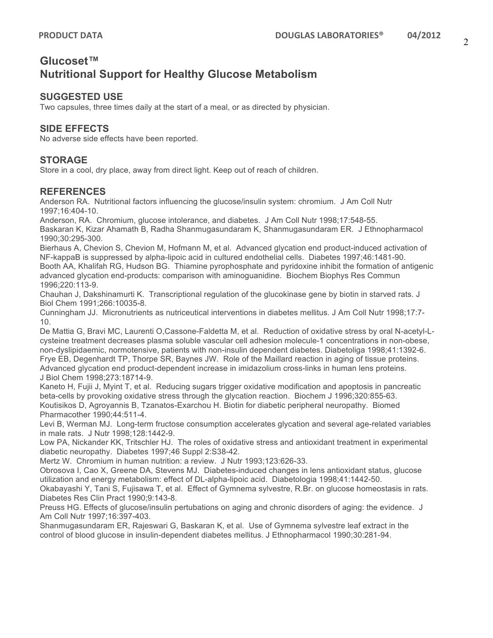# **Glucoset™ Nutritional Support for Healthy Glucose Metabolism**

### **SUGGESTED USE**

Two capsules, three times daily at the start of a meal, or as directed by physician.

# **SIDE EFFECTS**

No adverse side effects have been reported.

### **STORAGE**

Store in a cool, dry place, away from direct light. Keep out of reach of children.

### **REFERENCES**

Anderson RA. Nutritional factors influencing the glucose/insulin system: chromium. J Am Coll Nutr 1997;16:404-10.

Anderson, RA. Chromium, glucose intolerance, and diabetes. J Am Coll Nutr 1998;17:548-55. Baskaran K, Kizar Ahamath B, Radha Shanmugasundaram K, Shanmugasundaram ER. J Ethnopharmacol 1990;30:295-300.

Bierhaus A, Chevion S, Chevion M, Hofmann M, et al. Advanced glycation end product-induced activation of NF-kappaB is suppressed by alpha-lipoic acid in cultured endothelial cells. Diabetes 1997;46:1481-90. Booth AA, Khalifah RG, Hudson BG. Thiamine pyrophosphate and pyridoxine inhibit the formation of antigenic advanced glycation end-products: comparison with aminoguanidine. Biochem Biophys Res Commun 1996;220:113-9.

Chauhan J, Dakshinamurti K. Transcriptional regulation of the glucokinase gene by biotin in starved rats. J Biol Chem 1991;266:10035-8.

Cunningham JJ. Micronutrients as nutriceutical interventions in diabetes mellitus. J Am Coll Nutr 1998;17:7- 10.

De Mattia G, Bravi MC, Laurenti O,Cassone-Faldetta M, et al. Reduction of oxidative stress by oral N-acetyl-Lcysteine treatment decreases plasma soluble vascular cell adhesion molecule-1 concentrations in non-obese, non-dyslipidaemic, normotensive, patients with non-insulin dependent diabetes. Diabetoliga 1998;41:1392-6. Frye EB, Degenhardt TP, Thorpe SR, Baynes JW. Role of the Maillard reaction in aging of tissue proteins. Advanced glycation end product-dependent increase in imidazolium cross-links in human lens proteins. J Biol Chem 1998;273:18714-9.

Kaneto H, Fujii J, Myint T, et al. Reducing sugars trigger oxidative modification and apoptosis in pancreatic beta-cells by provoking oxidative stress through the glycation reaction. Biochem J 1996;320:855-63. Koutisikos D, Agroyannis B, Tzanatos-Exarchou H. Biotin for diabetic peripheral neuropathy. Biomed Pharmacother 1990;44:511-4.

Levi B, Werman MJ. Long-term fructose consumption accelerates glycation and several age-related variables in male rats. J Nutr 1998;128:1442-9.

Low PA, Nickander KK, Tritschler HJ. The roles of oxidative stress and antioxidant treatment in experimental diabetic neuropathy. Diabetes 1997;46 Suppl 2:S38-42.

Mertz W. Chromium in human nutrition: a review. J Nutr 1993;123:626-33.

Obrosova I, Cao X, Greene DA, Stevens MJ. Diabetes-induced changes in lens antioxidant status, glucose utilization and energy metabolism: effect of DL-alpha-lipoic acid. Diabetologia 1998;41:1442-50.

Okabayashi Y, Tani S, Fujisawa T, et al. Effect of Gymnema sylvestre, R.Br. on glucose homeostasis in rats. Diabetes Res Clin Pract 1990;9:143-8.

Preuss HG. Effects of glucose/insulin pertubations on aging and chronic disorders of aging: the evidence. J Am Coll Nutr 1997;16:397-403.

Shanmugasundaram ER, Rajeswari G, Baskaran K, et al. Use of Gymnema sylvestre leaf extract in the control of blood glucose in insulin-dependent diabetes mellitus. J Ethnopharmacol 1990;30:281-94.